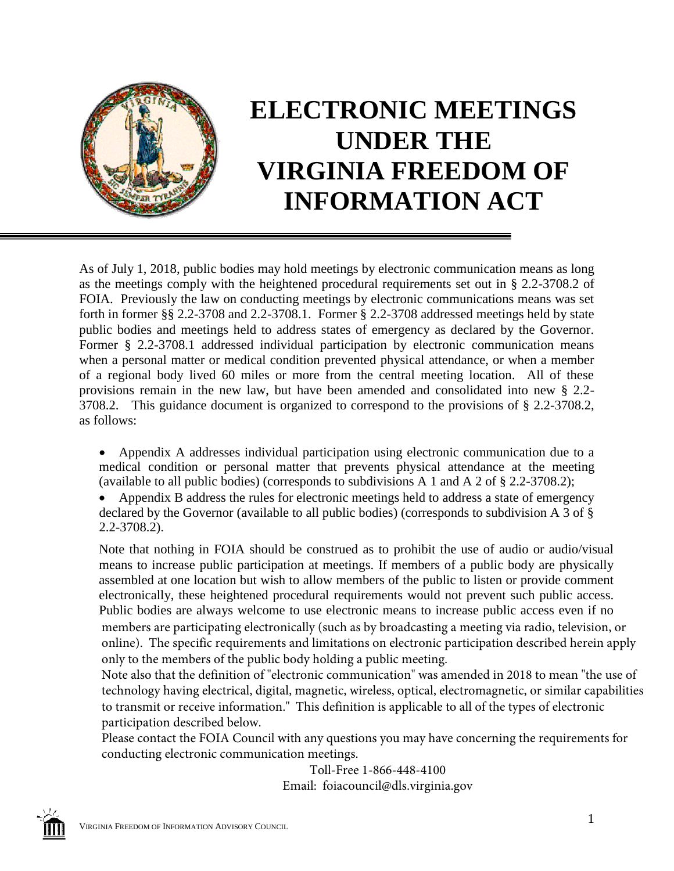

## **ELECTRONIC MEETINGS UNDER THE VIRGINIA FREEDOM OF INFORMATION ACT**

As of July 1, 2018, public bodies may hold meetings by electronic communication means as long as the meetings comply with the heightened procedural requirements set out in § 2.2-3708.2 of FOIA. Previously the law on conducting meetings by electronic communications means was set forth in former §§ 2.2-3708 and 2.2-3708.1. Former § 2.2-3708 addressed meetings held by state public bodies and meetings held to address states of emergency as declared by the Governor. Former § 2.2-3708.1 addressed individual participation by electronic communication means when a personal matter or medical condition prevented physical attendance, or when a member of a regional body lived 60 miles or more from the central meeting location. All of these provisions remain in the new law, but have been amended and consolidated into new § 2.2- 3708.2. This guidance document is organized to correspond to the provisions of § 2.2-3708.2, as follows:

 Appendix A addresses individual participation using electronic communication due to a medical condition or personal matter that prevents physical attendance at the meeting (available to all public bodies) (corresponds to subdivisions A 1 and A 2 of § 2.2-3708.2);

 Appendix B address the rules for electronic meetings held to address a state of emergency declared by the Governor (available to all public bodies) (corresponds to subdivision A 3 of § 2.2-3708.2).

Note that nothing in FOIA should be construed as to prohibit the use of audio or audio/visual means to increase public participation at meetings. If members of a public body are physically assembled at one location but wish to allow members of the public to listen or provide comment electronically, these heightened procedural requirements would not prevent such public access. Public bodies are always welcome to use electronic means to increase public access even if no members are participating electronically (such as by broadcasting a meeting via radio, television, or online). The specific requirements and limitations on electronic participation described herein apply only to the members of the public body holding a public meeting.

Note also that the definition of "electronic communication" was amended in 2018 to mean "the use of technology having electrical, digital, magnetic, wireless, optical, electromagnetic, or similar capabilities to transmit or receive information." This definition is applicable to all of the types of electronic participation described below.

Please contact the FOIA Council with any questions you may have concerning the requirements for conducting electronic communication meetings.

Toll-Free 1-866-448-4100 Email: foiacouncil@dls.virginia.gov

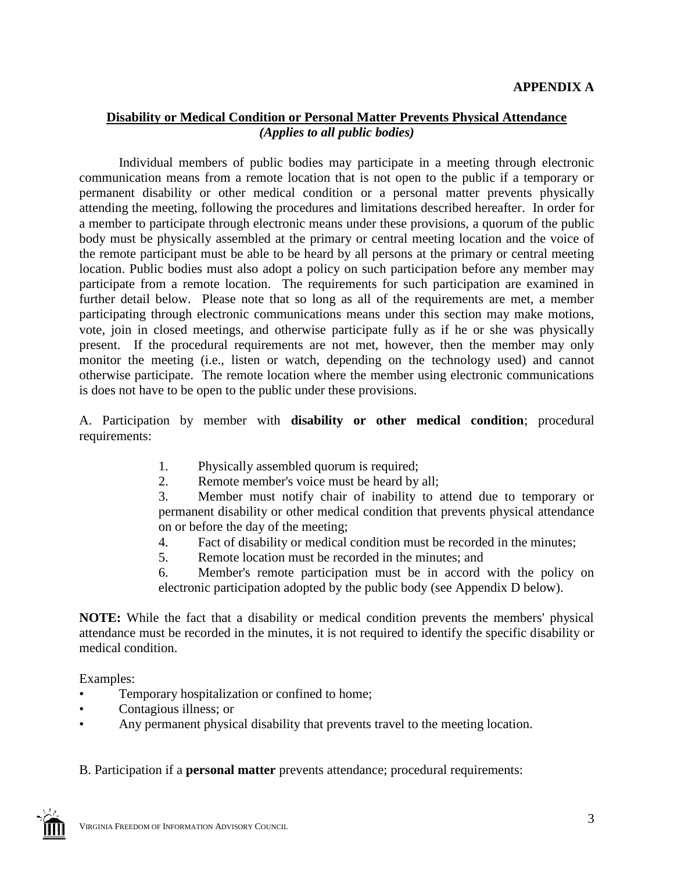## **Disability or Medical Condition or Personal Matter Prevents Physical Attendance** *(Applies to all public bodies)*

Individual members of public bodies may participate in a meeting through electronic communication means from a remote location that is not open to the public if a temporary or permanent disability or other medical condition or a personal matter prevents physically attending the meeting, following the procedures and limitations described hereafter. In order for a member to participate through electronic means under these provisions, a quorum of the public body must be physically assembled at the primary or central meeting location and the voice of the remote participant must be able to be heard by all persons at the primary or central meeting location. Public bodies must also adopt a policy on such participation before any member may participate from a remote location. The requirements for such participation are examined in further detail below. Please note that so long as all of the requirements are met, a member participating through electronic communications means under this section may make motions, vote, join in closed meetings, and otherwise participate fully as if he or she was physically present. If the procedural requirements are not met, however, then the member may only monitor the meeting (i.e., listen or watch, depending on the technology used) and cannot otherwise participate. The remote location where the member using electronic communications is does not have to be open to the public under these provisions.

A. Participation by member with **disability or other medical condition**; procedural requirements:

- 1. Physically assembled quorum is required;
- 2. Remote member's voice must be heard by all;

3. Member must notify chair of inability to attend due to temporary or permanent disability or other medical condition that prevents physical attendance on or before the day of the meeting;

- 4. Fact of disability or medical condition must be recorded in the minutes;
- 5. Remote location must be recorded in the minutes; and

6. Member's remote participation must be in accord with the policy on electronic participation adopted by the public body (see Appendix D below).

**NOTE:** While the fact that a disability or medical condition prevents the members' physical attendance must be recorded in the minutes, it is not required to identify the specific disability or medical condition.

Examples:

- Temporary hospitalization or confined to home;
- Contagious illness; or
- Any permanent physical disability that prevents travel to the meeting location.

B. Participation if a **personal matter** prevents attendance; procedural requirements:

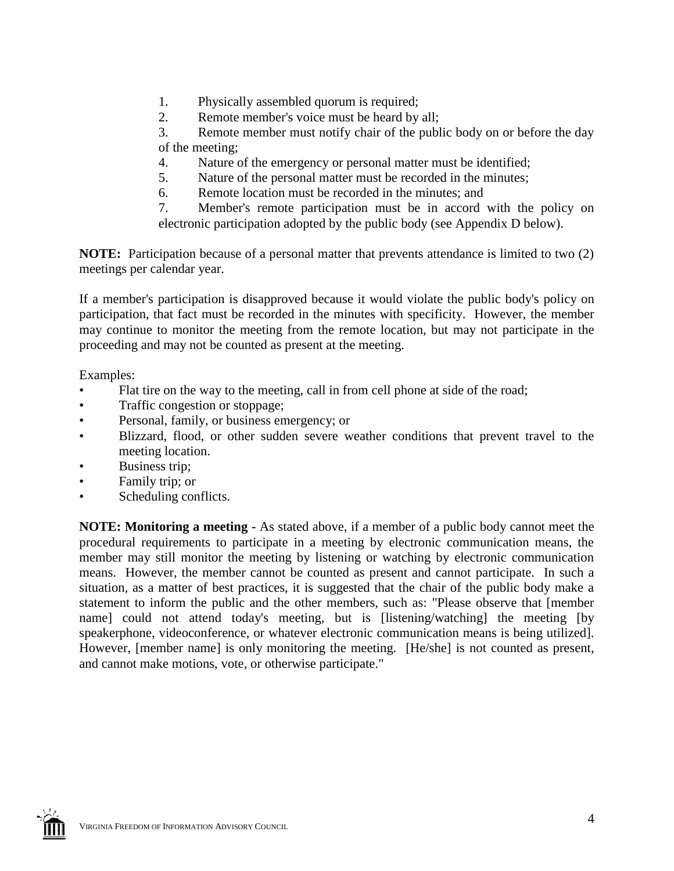- 1. Physically assembled quorum is required;
- 2. Remote member's voice must be heard by all;

3. Remote member must notify chair of the public body on or before the day of the meeting;

- 4. Nature of the emergency or personal matter must be identified;
- 5. Nature of the personal matter must be recorded in the minutes;
- 6. Remote location must be recorded in the minutes; and

7. Member's remote participation must be in accord with the policy on electronic participation adopted by the public body (see Appendix D below).

**NOTE:** Participation because of a personal matter that prevents attendance is limited to two (2) meetings per calendar year.

If a member's participation is disapproved because it would violate the public body's policy on participation, that fact must be recorded in the minutes with specificity. However, the member may continue to monitor the meeting from the remote location, but may not participate in the proceeding and may not be counted as present at the meeting.

Examples:

- Flat tire on the way to the meeting, call in from cell phone at side of the road;
- Traffic congestion or stoppage;
- Personal, family, or business emergency; or
- Blizzard, flood, or other sudden severe weather conditions that prevent travel to the meeting location.
- Business trip;
- Family trip; or
- Scheduling conflicts.

**NOTE: Monitoring a meeting -** As stated above, if a member of a public body cannot meet the procedural requirements to participate in a meeting by electronic communication means, the member may still monitor the meeting by listening or watching by electronic communication means. However, the member cannot be counted as present and cannot participate. In such a situation, as a matter of best practices, it is suggested that the chair of the public body make a statement to inform the public and the other members, such as: "Please observe that [member name] could not attend today's meeting, but is [listening/watching] the meeting [by speakerphone, videoconference, or whatever electronic communication means is being utilized]. However, [member name] is only monitoring the meeting. [He/she] is not counted as present, and cannot make motions, vote, or otherwise participate."